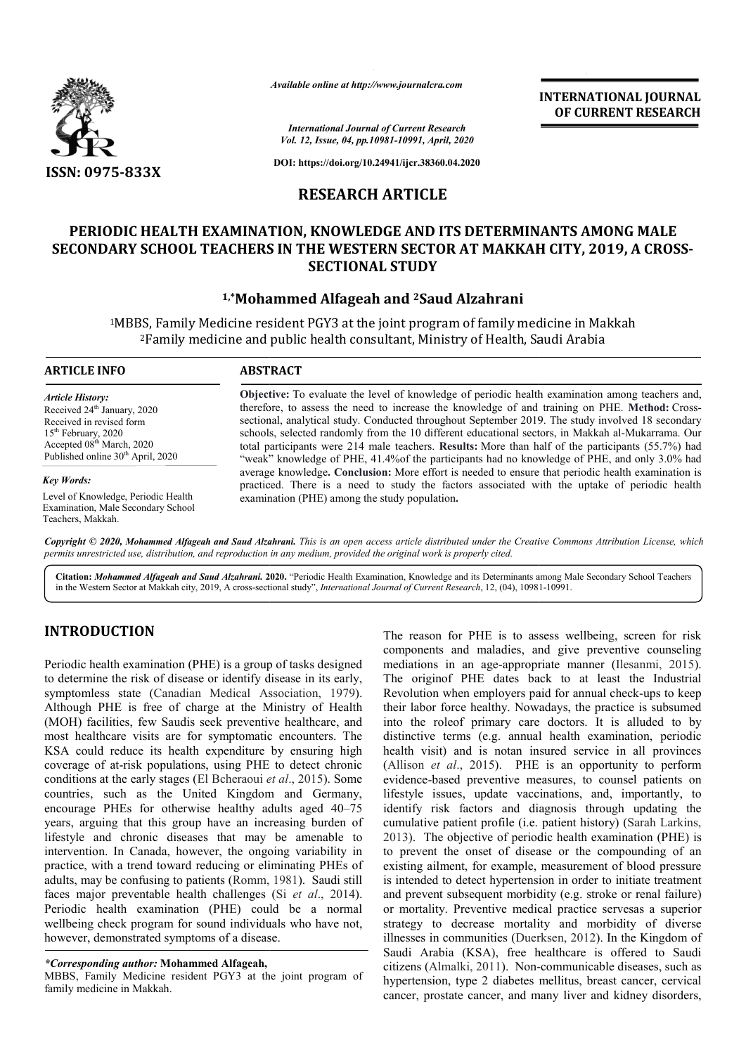

*Available online at http://www.journalcra.com*

*International Journal of Current Research Vol. 12, Issue, 04, pp.10981-10991, April, 2020*

**DOI: https://doi.org/10.24941/ijcr.38360.04.2020**

# **RESEARCH ARTICLE**

# **PERIODIC HEALTH EXAMINATION, KNOWLEDGE AND ITS DETERMINANTS AMONG MALE SECONDARY SCHOOL TEACHERS IN THE WESTERN SECTOR AT MAKKAH CITY, 2019, A CROSS CROSS-SECTIONAL STUDY**

# **1,\*Mohammed Alfageah and Mohammed 2Saud Alzahrani**

<sup>1</sup>MBBS, Family Medicine resident PGY3 at the joint program of family medicine in Makkah<br><sup>2</sup>Family medicine and public health consultant, Ministry of Health, Saudi Arabia MBBS, Family Medicine resident PGY3 at the joint program of family medicine in Ma<br><sup>2</sup>Family medicine and public health consultant, Ministry of Health, Saudi Arabia

| <b>ARTICLE INFO</b>                           | <b>ABSTRACT</b>                                                                                         |
|-----------------------------------------------|---------------------------------------------------------------------------------------------------------|
| <b>Article History:</b>                       | <b>Objective:</b> To evaluate the level of knowledge of periodic health examination among teachers and, |
| Received 24 <sup>th</sup> January, 2020       | therefore, to assess the need to increase the knowledge of and training on PHE. Method: Cross-          |
| Received in revised form                      | sectional, analytical study. Conducted throughout September 2019. The study involved 18 secondary       |
| $15th$ February, 2020                         | schools, selected randomly from the 10 different educational sectors, in Makkah al-Mukarrama. Our       |
| Accepted $08th$ March, 2020                   | total participants were 214 male teachers. Results: More than half of the participants (55.7%) had      |
| Published online 30 <sup>th</sup> April, 2020 | "weak" knowledge of PHE, 41.4% of the participants had no knowledge of PHE, and only 3.0% had           |
| Key Words:                                    | average knowledge. Conclusion: More effort is needed to ensure that periodic health examination is      |
| Level of Knowledge, Periodic Health           | practiced. There is a need to study the factors associated with the uptake of periodic health           |
| <b>Examination, Male Secondary School</b>     | examination (PHE) among the study population.                                                           |

Copyright © 2020, Mohammed Alfageah and Saud Alzahrani. This is an open access article distributed under the Creative Commons Attribution License, which permits unrestricted use, distribution, and reproduction in any medium, provided the original work is properly cited.

Citation: Mohammed Alfageah and Saud Alzahrani. 2020. "Periodic Health Examination, Knowledge and its Determinants among Male Secondary School Teachers<br>in the Western Sector at Makkah city, 2019, A cross-sectional study", in the Western Sector at Makkah city, 2019, A cross-sectional study", *International Journal of Current Research*, 12, (04), 10981

# **INTRODUCTION**

Teachers, Makkah.

Periodic health examination (PHE) is a group of tasks designed to determine the risk of disease or identify disease in its early, symptomless state (Canadian Medical Association, 1979). Although PHE is free of charge at the Ministry of Health (MOH) facilities, few Saudis seek preventive healthcare, and most healthcare visits are for symptomatic encounters. The KSA could reduce its health expenditure by ensuring high coverage of at-risk populations, using PHE to detect chronic conditions at the early stages (El Bcheraoui *et al* ., 2015). Some countries, such as the United Kingdom and Germany, encourage PHEs for otherwise healthy adults aged 40 40–75 years, arguing that this group have an increasing burden of lifestyle and chronic diseases that may be amenable to intervention. In Canada, however, the ongoing variability in practice, with a trend toward reducing or eliminating PHEs of adults, may be confusing to patients (Romm, 1981 , 1981). Saudi still faces major preventable health challenges (Si *et al*., 2014). Periodic health examination (PHE) could be a normal wellbeing check program for sound individuals who have not, however, demonstrated symptoms of a disease.

#### *\*Corresponding author:* **Mohammed Alfageah,**

MBBS, Family Medicine resident PGY3 at the joint program of family medicine in Makkah.

The reason for PHE is to assess wellbeing, screen for risk components and maladies, and give preventive counseling mediations in an age-appropriate manner (Ilesanmi, 2015). The originof PHE dates back to at least the Industrial The originof PHE dates back to at least the Industrial Revolution when employers paid for annual check-ups to keep their labor force healthy. Nowadays, the practice is subsumed into the roleof primary care doctors. It is alluded to by distinctive terms (e.g. annual health examination, periodic health visit) and is notan insured service in all provinces (Allison *et al*., 2015). PHE is an opportunity to perform evidence-based preventive measures, to counsel patients on lifestyle issues, update vaccinations, and, importantly, to identify risk factors and diagnosis through updating the cumulative patient profile (i.e. patient history) (Sarah Larkins, 2013). The objective of periodic health examination (PHE) is to prevent the onset of disease or the compounding of an existing ailment, for example, measurement of blood pressure is intended to detect hypertension in order to initiate treatment and prevent subsequent morbidity (e.g. stroke or renal failure) and prevent subsequent morbidity (e.g. stroke or renal failure)<br>or mortality. Preventive medical practice servesas a superior strategy to decrease mortality and morbidity of diverse illnesses in communities (Duerksen, 2012). In the Kingdom of Saudi Arabia (KSA), free healthcare is offered to Saudi Saudi Arabia (KSA), free healthcare is offered to Saudi citizens (Almalki, 2011). Non-communicable diseases, such as hypertension, type 2 diabetes mellitus, breast cancer, cervical cancer, prostate cancer, and many liver and kidney disorders, for PHE is to assess wellbeing, screen for risk<br>and maladies, and give preventive counseling<br>in an age-appropriate manner (Ilesanmi, 2015). into the roleof primary care doctors. It is alluded to by distinctive terms (e.g. annual health examination, periodic health visit) and is notan insured service in all provinces (Allison *et al.*, 2015). PHE is an opportu beriodic health examination (PHE) is<br>disease or the compounding of an<br>pple, measurement of blood pressure<br>rtension in order to initiate treatment **INTERNATIONAL JOURNAL EST (CONSUMPLY)**<br> **CFOCURERNY RESEARCH**<br> **CFOCURERNY RESEARCH**<br> **CFOCURERNY RESEARCH**<br> **CFOCURERNY RESEARCH**<br> **CFOCURERNY RESEARCH**<br> **CFOCURERNY RESEARCH**<br> **CFOCURE CFOR AT MAKKAH CITY, 2019, A CROSS** 

**INTERNATIONAL JOURNAL OF CURRENT RESEARCH**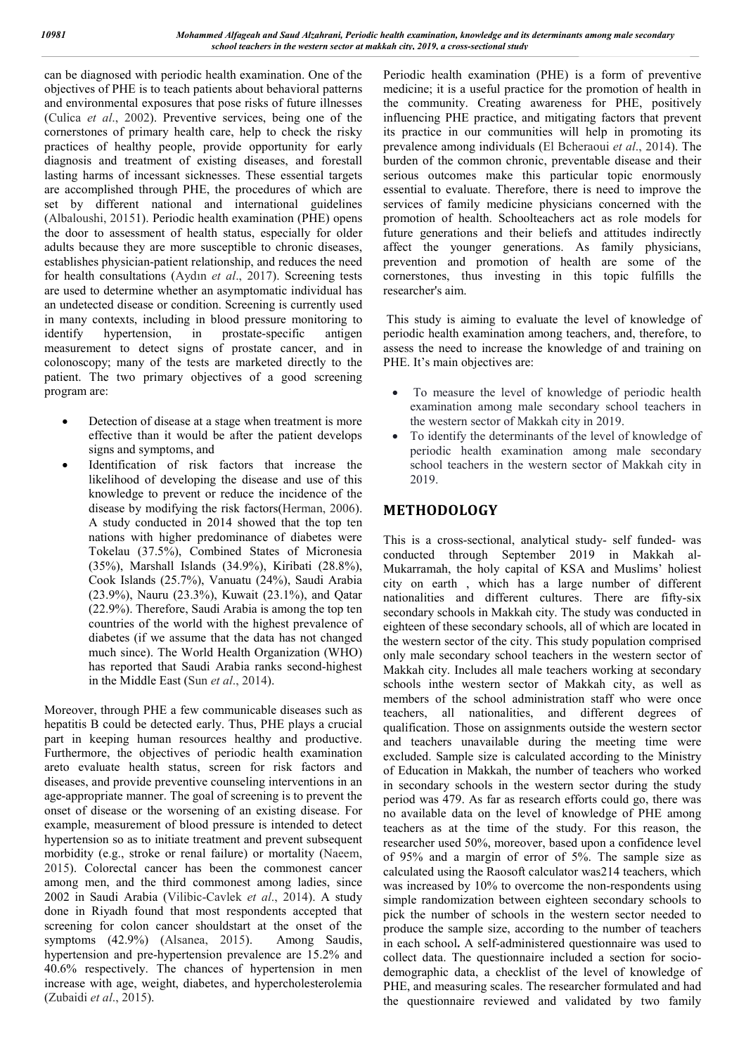can be diagnosed with periodic health examination. One of the objectives of PHE is to teach patients about behavioral patterns and environmental exposures that pose risks of future illnesses (Culica *et al*., 2002). Preventive services, being one of the cornerstones of primary health care, help to check the risky practices of healthy people, provide opportunity for early diagnosis and treatment of existing diseases, and forestall lasting harms of incessant sicknesses. These essential targets are accomplished through PHE, the procedures of which are set by different national and international guidelines (Albaloushi, 20151). Periodic health examination (PHE) opens the door to assessment of health status, especially for older adults because they are more susceptible to chronic diseases, establishes physician-patient relationship, and reduces the need for health consultations (Aydın *et al*., 2017). Screening tests are used to determine whether an asymptomatic individual has an undetected disease or condition. Screening is currently used in many contexts, including in blood pressure monitoring to identify hypertension, in prostate-specific antigen measurement to detect signs of prostate cancer, and in colonoscopy; many of the tests are marketed directly to the patient. The two primary objectives of a good screening program are:

- Detection of disease at a stage when treatment is more effective than it would be after the patient develops signs and symptoms, and
- Identification of risk factors that increase the likelihood of developing the disease and use of this knowledge to prevent or reduce the incidence of the disease by modifying the risk factors(Herman, 2006). A study conducted in 2014 showed that the top ten nations with higher predominance of diabetes were Tokelau (37.5%), Combined States of Micronesia (35%), Marshall Islands (34.9%), Kiribati (28.8%), Cook Islands (25.7%), Vanuatu (24%), Saudi Arabia (23.9%), Nauru (23.3%), Kuwait (23.1%), and Qatar (22.9%). Therefore, Saudi Arabia is among the top ten countries of the world with the highest prevalence of diabetes (if we assume that the data has not changed much since). The World Health Organization (WHO) has reported that Saudi Arabia ranks second-highest in the Middle East (Sun *et al*., 2014).

Moreover, through PHE a few communicable diseases such as hepatitis B could be detected early. Thus, PHE plays a crucial part in keeping human resources healthy and productive. Furthermore, the objectives of periodic health examination areto evaluate health status, screen for risk factors and diseases, and provide preventive counseling interventions in an age-appropriate manner. The goal of screening is to prevent the onset of disease or the worsening of an existing disease. For example, measurement of blood pressure is intended to detect hypertension so as to initiate treatment and prevent subsequent morbidity (e.g., stroke or renal failure) or mortality (Naeem, 2015). Colorectal cancer has been the commonest cancer among men, and the third commonest among ladies, since 2002 in Saudi Arabia (Vilibic-Cavlek *et al*., 2014). A study done in Riyadh found that most respondents accepted that screening for colon cancer shouldstart at the onset of the symptoms (42.9%) (Alsanea, 2015). Among Saudis, hypertension and pre-hypertension prevalence are 15.2% and 40.6% respectively. The chances of hypertension in men increase with age, weight, diabetes, and hypercholesterolemia (Zubaidi *et al*., 2015).

Periodic health examination (PHE) is a form of preventive medicine; it is a useful practice for the promotion of health in the community. Creating awareness for PHE, positively influencing PHE practice, and mitigating factors that prevent its practice in our communities will help in promoting its prevalence among individuals (El Bcheraoui *et al*., 2014). The burden of the common chronic, preventable disease and their serious outcomes make this particular topic enormously essential to evaluate. Therefore, there is need to improve the services of family medicine physicians concerned with the promotion of health. Schoolteachers act as role models for future generations and their beliefs and attitudes indirectly affect the younger generations. As family physicians, prevention and promotion of health are some of the cornerstones, thus investing in this topic fulfills the researcher's aim.

This study is aiming to evaluate the level of knowledge of periodic health examination among teachers, and, therefore, to assess the need to increase the knowledge of and training on PHE. It's main objectives are:

- To measure the level of knowledge of periodic health examination among male secondary school teachers in the western sector of Makkah city in 2019.
- To identify the determinants of the level of knowledge of periodic health examination among male secondary school teachers in the western sector of Makkah city in 2019.

# **METHODOLOGY**

This is a cross-sectional, analytical study- self funded- was conducted through September 2019 in Makkah al-Mukarramah, the holy capital of KSA and Muslims' holiest city on earth , which has a large number of different nationalities and different cultures. There are fifty-six secondary schools in Makkah city. The study was conducted in eighteen of these secondary schools, all of which are located in the western sector of the city. This study population comprised only male secondary school teachers in the western sector of Makkah city. Includes all male teachers working at secondary schools inthe western sector of Makkah city, as well as members of the school administration staff who were once teachers, all nationalities, and different degrees of qualification. Those on assignments outside the western sector and teachers unavailable during the meeting time were excluded. Sample size is calculated according to the Ministry of Education in Makkah, the number of teachers who worked in secondary schools in the western sector during the study period was 479. As far as research efforts could go, there was no available data on the level of knowledge of PHE among teachers as at the time of the study. For this reason, the researcher used 50%, moreover, based upon a confidence level of 95% and a margin of error of 5%. The sample size as calculated using the Raosoft calculator was214 teachers, which was increased by 10% to overcome the non-respondents using simple randomization between eighteen secondary schools to pick the number of schools in the western sector needed to produce the sample size, according to the number of teachers in each school**.** A self-administered questionnaire was used to collect data. The questionnaire included a section for sociodemographic data, a checklist of the level of knowledge of PHE, and measuring scales. The researcher formulated and had the questionnaire reviewed and validated by two family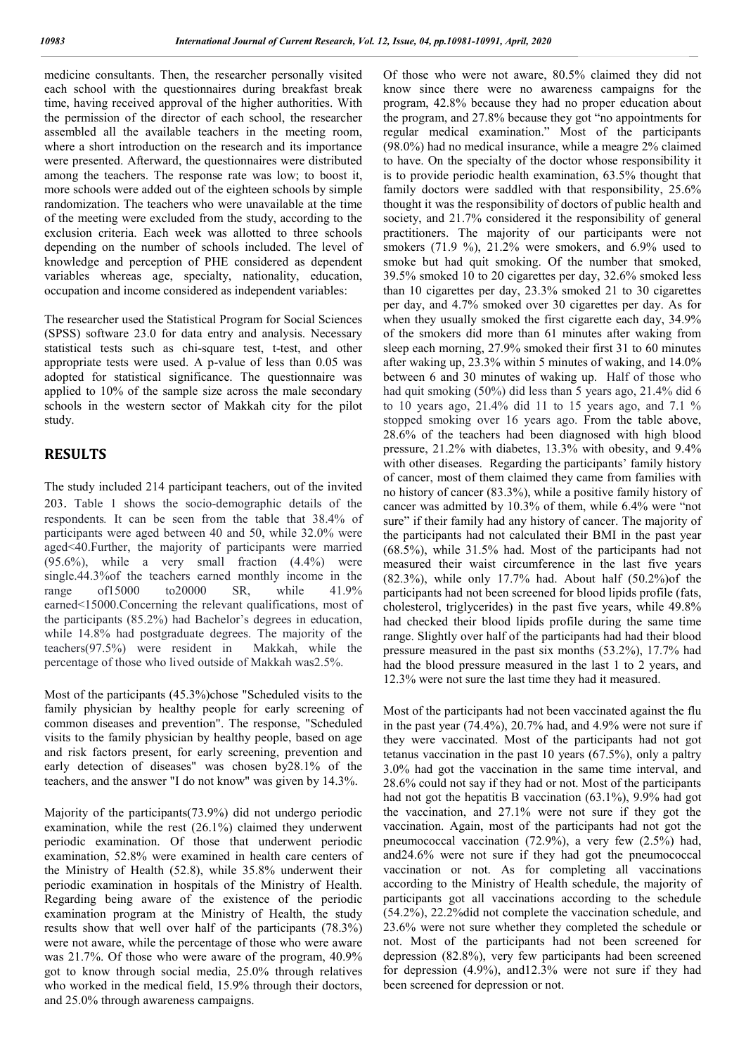medicine consultants. Then, the researcher personally visited each school with the questionnaires during breakfast break time, having received approval of the higher authorities. With the permission of the director of each school, the researcher assembled all the available teachers in the meeting room, where a short introduction on the research and its importance were presented. Afterward, the questionnaires were distributed among the teachers. The response rate was low; to boost it, more schools were added out of the eighteen schools by simple randomization. The teachers who were unavailable at the time of the meeting were excluded from the study, according to the exclusion criteria. Each week was allotted to three schools depending on the number of schools included. The level of knowledge and perception of PHE considered as dependent variables whereas age, specialty, nationality, education, occupation and income considered as independent variables:

The researcher used the Statistical Program for Social Sciences (SPSS) software 23.0 for data entry and analysis. Necessary statistical tests such as chi-square test, t-test, and other appropriate tests were used. A p-value of less than 0.05 was adopted for statistical significance. The questionnaire was applied to 10% of the sample size across the male secondary schools in the western sector of Makkah city for the pilot study.

## **RESULTS**

The study included 214 participant teachers, out of the invited 203. Table 1 shows the socio-demographic details of the respondents*.* It can be seen from the table that 38.4% of participants were aged between 40 and 50, while 32.0% were aged<40.Further, the majority of participants were married (95.6%), while a very small fraction (4.4%) were single.44.3%of the teachers earned monthly income in the range of15000 to20000 SR, while 41.9% earned<15000.Concerning the relevant qualifications, most of the participants (85.2%) had Bachelor's degrees in education, while 14.8% had postgraduate degrees. The majority of the teachers(97.5%) were resident in Makkah, while the percentage of those who lived outside of Makkah was2.5%.

Most of the participants (45.3%)chose "Scheduled visits to the family physician by healthy people for early screening of common diseases and prevention". The response, "Scheduled visits to the family physician by healthy people, based on age and risk factors present, for early screening, prevention and early detection of diseases" was chosen by28.1% of the teachers, and the answer "I do not know" was given by 14.3%.

Majority of the participants(73.9%) did not undergo periodic examination, while the rest (26.1%) claimed they underwent periodic examination. Of those that underwent periodic examination, 52.8% were examined in health care centers of the Ministry of Health (52.8), while 35.8% underwent their periodic examination in hospitals of the Ministry of Health. Regarding being aware of the existence of the periodic examination program at the Ministry of Health, the study results show that well over half of the participants (78.3%) were not aware, while the percentage of those who were aware was 21.7%. Of those who were aware of the program, 40.9% got to know through social media, 25.0% through relatives who worked in the medical field, 15.9% through their doctors, and 25.0% through awareness campaigns.

Of those who were not aware, 80.5% claimed they did not know since there were no awareness campaigns for the program, 42.8% because they had no proper education about the program, and 27.8% because they got "no appointments for regular medical examination." Most of the participants (98.0%) had no medical insurance, while a meagre 2% claimed to have. On the specialty of the doctor whose responsibility it is to provide periodic health examination, 63.5% thought that family doctors were saddled with that responsibility, 25.6% thought it was the responsibility of doctors of public health and society, and 21.7% considered it the responsibility of general practitioners. The majority of our participants were not smokers (71.9 %), 21.2% were smokers, and 6.9% used to smoke but had quit smoking. Of the number that smoked, 39.5% smoked 10 to 20 cigarettes per day, 32.6% smoked less than 10 cigarettes per day, 23.3% smoked 21 to 30 cigarettes per day, and 4.7% smoked over 30 cigarettes per day. As for when they usually smoked the first cigarette each day, 34.9% of the smokers did more than 61 minutes after waking from sleep each morning, 27.9% smoked their first 31 to 60 minutes after waking up, 23.3% within 5 minutes of waking, and 14.0% between 6 and 30 minutes of waking up. Half of those who had quit smoking (50%) did less than 5 years ago, 21.4% did 6 to 10 years ago, 21.4% did 11 to 15 years ago, and 7.1 % stopped smoking over 16 years ago. From the table above, 28.6% of the teachers had been diagnosed with high blood pressure, 21.2% with diabetes, 13.3% with obesity, and 9.4% with other diseases. Regarding the participants' family history of cancer, most of them claimed they came from families with no history of cancer (83.3%), while a positive family history of cancer was admitted by 10.3% of them, while 6.4% were "not sure" if their family had any history of cancer. The majority of the participants had not calculated their BMI in the past year (68.5%), while 31.5% had. Most of the participants had not measured their waist circumference in the last five years (82.3%), while only 17.7% had. About half (50.2%)of the participants had not been screened for blood lipids profile (fats, cholesterol, triglycerides) in the past five years, while 49.8% had checked their blood lipids profile during the same time range. Slightly over half of the participants had had their blood pressure measured in the past six months (53.2%), 17.7% had had the blood pressure measured in the last 1 to 2 years, and 12.3% were not sure the last time they had it measured.

Most of the participants had not been vaccinated against the flu in the past year (74.4%), 20.7% had, and 4.9% were not sure if they were vaccinated. Most of the participants had not got tetanus vaccination in the past 10 years (67.5%), only a paltry 3.0% had got the vaccination in the same time interval, and 28.6% could not say if they had or not. Most of the participants had not got the hepatitis B vaccination (63.1%), 9.9% had got the vaccination, and 27.1% were not sure if they got the vaccination. Again, most of the participants had not got the pneumococcal vaccination (72.9%), a very few (2.5%) had, and24.6% were not sure if they had got the pneumococcal vaccination or not. As for completing all vaccinations according to the Ministry of Health schedule, the majority of participants got all vaccinations according to the schedule (54.2%), 22.2%did not complete the vaccination schedule, and 23.6% were not sure whether they completed the schedule or not. Most of the participants had not been screened for depression (82.8%), very few participants had been screened for depression (4.9%), and12.3% were not sure if they had been screened for depression or not.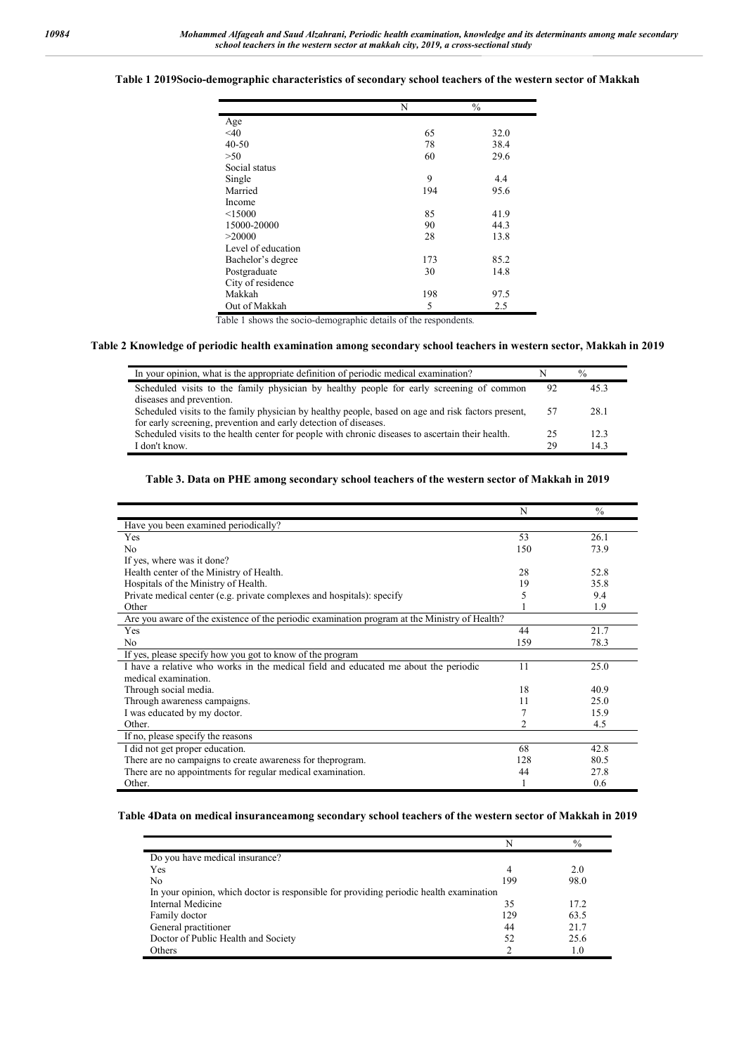### **Table 1 2019Socio-demographic characteristics of secondary school teachers of the western sector of Makkah**

|                    | N   | $\frac{0}{0}$ |
|--------------------|-----|---------------|
| Age                |     |               |
| $<$ 40             | 65  | 32.0          |
| $40 - 50$          | 78  | 38.4          |
| >50                | 60  | 29.6          |
| Social status      |     |               |
| Single             | 9   | 4.4           |
| Married            | 194 | 95.6          |
| Income             |     |               |
| < 15000            | 85  | 41.9          |
| 15000-20000        | 90  | 44.3          |
| >20000             | 28  | 13.8          |
| Level of education |     |               |
| Bachelor's degree  | 173 | 85.2          |
| Postgraduate       | 30  | 14.8          |
| City of residence  |     |               |
| Makkah             | 198 | 97.5          |
| Out of Makkah      | 5   | 2.5           |

Table 1 shows the socio-demographic details of the respondents*.*

#### **Table 2 Knowledge of periodic health examination among secondary school teachers in western sector, Makkah in 2019**

| In your opinion, what is the appropriate definition of periodic medical examination?               |    | $\frac{0}{0}$ |
|----------------------------------------------------------------------------------------------------|----|---------------|
| Scheduled visits to the family physician by healthy people for early screening of common           | 92 | 45.3          |
| diseases and prevention.                                                                           |    |               |
| Scheduled visits to the family physician by healthy people, based on age and risk factors present, | 57 | 28.1          |
| for early screening, prevention and early detection of diseases.                                   |    |               |
| Scheduled visits to the health center for people with chronic diseases to ascertain their health.  | 25 | 12.3          |
| I don't know.                                                                                      | 29 | 14.3          |

## **Table 3. Data on PHE among secondary school teachers of the western sector of Makkah in 2019**

|                                                                                               | N   | $\frac{0}{0}$ |
|-----------------------------------------------------------------------------------------------|-----|---------------|
| Have you been examined periodically?                                                          |     |               |
| Yes                                                                                           | 53  | 26.1          |
| N <sub>0</sub>                                                                                | 150 | 73.9          |
| If yes, where was it done?                                                                    |     |               |
| Health center of the Ministry of Health.                                                      | 28  | 52.8          |
| Hospitals of the Ministry of Health.                                                          | 19  | 35.8          |
| Private medical center (e.g. private complexes and hospitals): specify                        | 5   | 9.4           |
| Other                                                                                         |     | 1.9           |
| Are you aware of the existence of the periodic examination program at the Ministry of Health? |     |               |
| Yes                                                                                           | 44  | 21.7          |
| N <sub>o</sub>                                                                                | 159 | 78.3          |
| If yes, please specify how you got to know of the program                                     |     |               |
| I have a relative who works in the medical field and educated me about the periodic           | 11  | 25.0          |
| medical examination.                                                                          |     |               |
| Through social media.                                                                         | 18  | 40.9          |
| Through awareness campaigns.                                                                  | 11  | 25.0          |
| I was educated by my doctor.                                                                  | 7   | 15.9          |
| Other.                                                                                        | 2   | 4.5           |
| If no, please specify the reasons                                                             |     |               |
| I did not get proper education.                                                               | 68  | 42.8          |
| There are no campaigns to create awareness for theprogram.                                    | 128 | 80.5          |
| There are no appointments for regular medical examination.                                    | 44  | 27.8          |
| Other.                                                                                        |     | 0.6           |

**Table 4Data on medical insuranceamong secondary school teachers of the western sector of Makkah in 2019**

|                                                                                        | N   | $\frac{0}{0}$ |
|----------------------------------------------------------------------------------------|-----|---------------|
| Do you have medical insurance?                                                         |     |               |
| Yes                                                                                    | 4   | 2.0           |
| No                                                                                     | 199 | 98.0          |
| In your opinion, which doctor is responsible for providing periodic health examination |     |               |
| Internal Medicine                                                                      | 35  | 17.2          |
| Family doctor                                                                          | 129 | 63.5          |
| General practitioner                                                                   | 44  | 21.7          |
| Doctor of Public Health and Society                                                    | 52  | 25.6          |
| Others                                                                                 |     | 1.0           |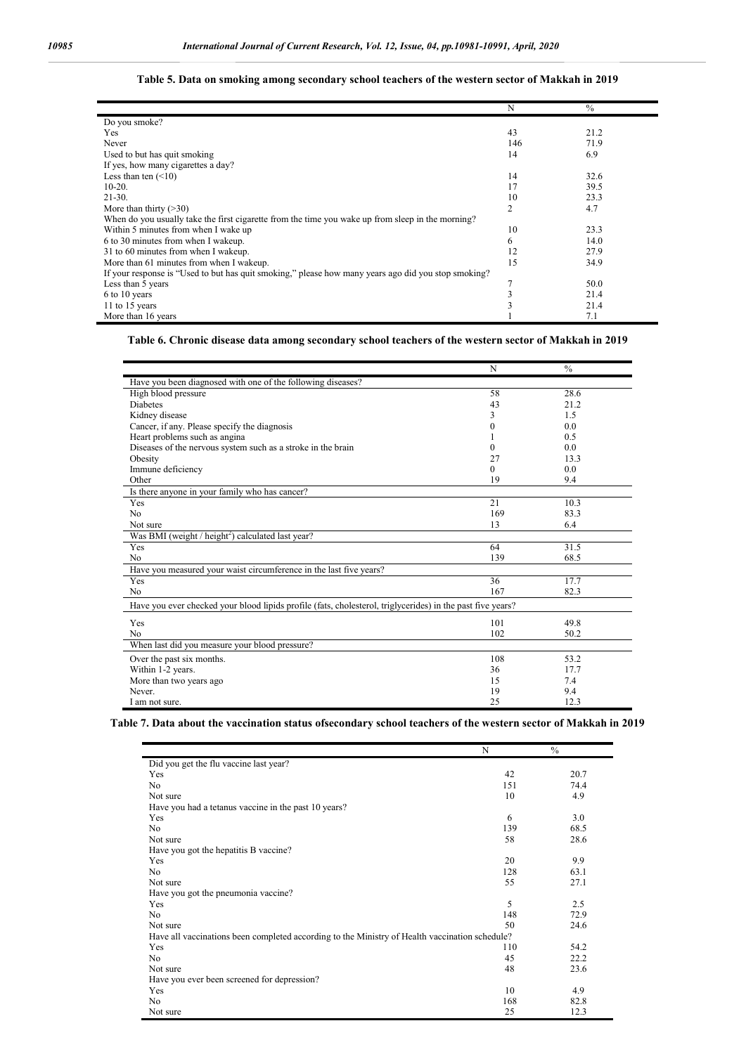|                                                                                                     | N   | $\frac{0}{0}$ |  |
|-----------------------------------------------------------------------------------------------------|-----|---------------|--|
| Do you smoke?                                                                                       |     |               |  |
| Yes                                                                                                 | 43  | 21.2          |  |
| Never                                                                                               | 146 | 71.9          |  |
| Used to but has quit smoking                                                                        | 14  | 6.9           |  |
| If yes, how many cigarettes a day?                                                                  |     |               |  |
| Less than ten $(\leq 10)$                                                                           | 14  | 32.6          |  |
| $10-20.$                                                                                            | 17  | 39.5          |  |
| $21 - 30.$                                                                                          | 10  | 23.3          |  |
| More than thirty $($ >30)                                                                           | 2   | 4.7           |  |
| When do you usually take the first cigarette from the time you wake up from sleep in the morning?   |     |               |  |
| Within 5 minutes from when I wake up                                                                | 10  | 23.3          |  |
| 6 to 30 minutes from when I wakeup.                                                                 | 6   | 14.0          |  |
| 31 to 60 minutes from when I wakeup.                                                                | 12  | 27.9          |  |
| More than 61 minutes from when I wakeup.                                                            | 15  | 34.9          |  |
| If your response is "Used to but has quit smoking," please how many years ago did you stop smoking? |     |               |  |
| Less than 5 years                                                                                   |     | 50.0          |  |
| 6 to 10 years                                                                                       |     | 21.4          |  |
| 11 to 15 years                                                                                      |     | 21.4          |  |
| More than 16 years                                                                                  |     | 7.1           |  |

## **Table 5. Data on smoking among secondary school teachers of the western sector of Makkah in 2019**

## **Table 6. Chronic disease data among secondary school teachers of the western sector of Makkah in 2019**

|                                                                                                            | N                | $\frac{0}{0}$ |  |
|------------------------------------------------------------------------------------------------------------|------------------|---------------|--|
| Have you been diagnosed with one of the following diseases?                                                |                  |               |  |
| High blood pressure                                                                                        | 58               | 28.6          |  |
| <b>Diabetes</b>                                                                                            | 43               | 21.2          |  |
| Kidney disease                                                                                             | 3                | 1.5           |  |
| Cancer, if any. Please specify the diagnosis                                                               | $\boldsymbol{0}$ | 0.0           |  |
| Heart problems such as angina                                                                              |                  | 0.5           |  |
| Diseases of the nervous system such as a stroke in the brain                                               | $\boldsymbol{0}$ | 0.0           |  |
| Obesity                                                                                                    | 27               | 13.3          |  |
| Immune deficiency                                                                                          | $\theta$         | 0.0           |  |
| Other                                                                                                      | 19               | 9.4           |  |
| Is there anyone in your family who has cancer?                                                             |                  |               |  |
| Yes                                                                                                        | 21               | 10.3          |  |
| N <sub>0</sub>                                                                                             | 169              | 83.3          |  |
| Not sure                                                                                                   | 13               | 6.4           |  |
| Was BMI (weight / height <sup>2</sup> ) calculated last year?                                              |                  |               |  |
| Yes                                                                                                        | 64               | 31.5          |  |
| N <sub>o</sub>                                                                                             | 139              | 68.5          |  |
| Have you measured your waist circumference in the last five years?                                         |                  |               |  |
| Yes                                                                                                        | 36               | 17.7          |  |
| N <sub>o</sub>                                                                                             | 167              | 82.3          |  |
| Have you ever checked your blood lipids profile (fats, cholesterol, triglycerides) in the past five years? |                  |               |  |
| Yes                                                                                                        | 101              | 49.8          |  |
| No                                                                                                         | 102              | 50.2          |  |
| When last did you measure your blood pressure?                                                             |                  |               |  |
| Over the past six months.                                                                                  | 108              | 53.2          |  |
| Within 1-2 years.                                                                                          | 36               | 17.7          |  |
| More than two years ago                                                                                    | 15               | 7.4           |  |
| Never.                                                                                                     | 19               | 9.4           |  |
| I am not sure.                                                                                             | 25               | 12.3          |  |

## **Table 7. Data about the vaccination status ofsecondary school teachers of the western sector of Makkah in 2019**

|                                                                                                | N   | $\frac{0}{0}$ |
|------------------------------------------------------------------------------------------------|-----|---------------|
| Did you get the flu vaccine last year?                                                         |     |               |
| Yes                                                                                            | 42  | 20.7          |
| No                                                                                             | 151 | 74.4          |
| Not sure                                                                                       | 10  | 4.9           |
| Have you had a tetanus vaccine in the past 10 years?                                           |     |               |
| Yes                                                                                            | 6   | 3.0           |
| No                                                                                             | 139 | 68.5          |
| Not sure                                                                                       | 58  | 28.6          |
| Have you got the hepatitis B vaccine?                                                          |     |               |
| Yes                                                                                            | 20  | 9.9           |
| No                                                                                             | 128 | 63.1          |
| Not sure                                                                                       | 55  | 27.1          |
| Have you got the pneumonia vaccine?                                                            |     |               |
| Yes                                                                                            | 5   | 2.5           |
| No                                                                                             | 148 | 72.9          |
| Not sure                                                                                       | 50  | 24.6          |
| Have all vaccinations been completed according to the Ministry of Health vaccination schedule? |     |               |
| Yes                                                                                            | 110 | 54.2          |
| No                                                                                             | 45  | 22.2          |
| Not sure                                                                                       | 48  | 23.6          |
| Have you ever been screened for depression?                                                    |     |               |
| Yes                                                                                            | 10  | 4.9           |
| No                                                                                             | 168 | 82.8          |
| Not sure                                                                                       | 25  | 12.3          |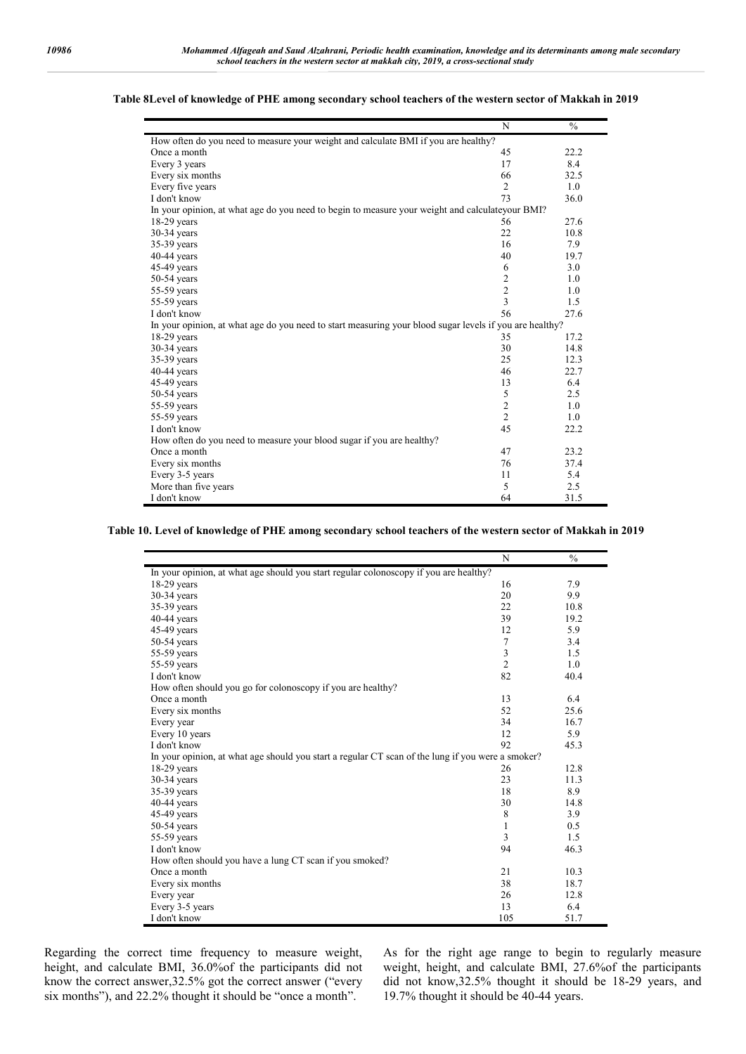|                                                                                                         | $\mathbf N$    | $\frac{0}{0}$ |
|---------------------------------------------------------------------------------------------------------|----------------|---------------|
| How often do you need to measure your weight and calculate BMI if you are healthy?                      |                |               |
| Once a month                                                                                            | 45             | 22.2          |
| Every 3 years                                                                                           | 17             | 8.4           |
| Every six months                                                                                        | 66             | 32.5          |
| Every five years                                                                                        | 2              | 1.0           |
| I don't know                                                                                            | 73             | 36.0          |
| In your opinion, at what age do you need to begin to measure your weight and calculateyour BMI?         |                |               |
| $18-29$ years                                                                                           | 56             | 27.6          |
| $30-34$ years                                                                                           | 22             | 10.8          |
| 35-39 years                                                                                             | 16             | 7.9           |
| $40-44$ years                                                                                           | 40             | 19.7          |
| 45-49 years                                                                                             | 6              | 3.0           |
| $50-54$ years                                                                                           | $\sqrt{2}$     | 1.0           |
| 55-59 years                                                                                             | $\frac{2}{3}$  | 1.0           |
| 55-59 years                                                                                             |                | 1.5           |
| I don't know                                                                                            | 56             | 27.6          |
| In your opinion, at what age do you need to start measuring your blood sugar levels if you are healthy? |                |               |
| $18-29$ years                                                                                           | 35             | 17.2          |
| $30-34$ years                                                                                           | 30             | 14.8          |
| 35-39 years                                                                                             | 25             | 12.3          |
| $40-44$ years                                                                                           | 46             | 22.7          |
| $45-49$ years                                                                                           | 13             | 6.4           |
| $50-54$ years                                                                                           | 5              | 2.5           |
| 55-59 years                                                                                             | $\overline{c}$ | 1.0           |
| 55-59 years                                                                                             | $\overline{2}$ | 1.0           |
| I don't know                                                                                            | 45             | 22.2          |
| How often do you need to measure your blood sugar if you are healthy?                                   |                |               |
| Once a month                                                                                            | 47             | 23.2          |
| Every six months                                                                                        | 76             | 37.4          |
| Every 3-5 years                                                                                         | 11             | 5.4           |
| More than five years                                                                                    | 5              | 2.5           |
| I don't know                                                                                            | 64             | 31.5          |

### **Table 8Level of knowledge of PHE among secondary school teachers of the western sector of Makkah in 2019**

**Table 10. Level of knowledge of PHE among secondary school teachers of the western sector of Makkah in 2019**

|                                                                                                   | N              | $\frac{0}{0}$ |
|---------------------------------------------------------------------------------------------------|----------------|---------------|
| In your opinion, at what age should you start regular colonoscopy if you are healthy?             |                |               |
| $18-29$ years                                                                                     | 16             | 7.9           |
| $30-34$ years                                                                                     | 20             | 9.9           |
| 35-39 years                                                                                       | 22             | 10.8          |
| $40-44$ years                                                                                     | 39             | 19.2          |
| $45-49$ years                                                                                     | 12             | 5.9           |
| $50-54$ years                                                                                     | $\tau$         | 3.4           |
| 55-59 years                                                                                       | $\mathfrak{Z}$ | 1.5           |
| 55-59 years                                                                                       | $\overline{2}$ | 1.0           |
| I don't know                                                                                      | 82             | 40.4          |
| How often should you go for colonoscopy if you are healthy?                                       |                |               |
| Once a month                                                                                      | 13             | 6.4           |
| Every six months                                                                                  | 52             | 25.6          |
| Every year                                                                                        | 34             | 16.7          |
| Every 10 years                                                                                    | 12             | 5.9           |
| I don't know                                                                                      | 92             | 45.3          |
| In your opinion, at what age should you start a regular CT scan of the lung if you were a smoker? |                |               |
| $18-29$ years                                                                                     | 26             | 12.8          |
| $30-34$ years                                                                                     | 23             | 11.3          |
| 35-39 years                                                                                       | 18             | 8.9           |
| $40-44$ years                                                                                     | 30             | 14.8          |
| 45-49 years                                                                                       | 8              | 3.9           |
| $50-54$ years                                                                                     | $\mathbf{1}$   | 0.5           |
| 55-59 years                                                                                       | 3              | 1.5           |
| I don't know                                                                                      | 94             | 46.3          |
| How often should you have a lung CT scan if you smoked?                                           |                |               |
| Once a month                                                                                      | 21             | 10.3          |
| Every six months                                                                                  | 38             | 18.7          |
| Every year                                                                                        | 26             | 12.8          |
| Every 3-5 years                                                                                   | 13             | 6.4           |
| I don't know                                                                                      | 105            | 51.7          |

Regarding the correct time frequency to measure weight, height, and calculate BMI, 36.0%of the participants did not know the correct answer,32.5% got the correct answer ("every six months"), and 22.2% thought it should be "once a month".

As for the right age range to begin to regularly measure weight, height, and calculate BMI, 27.6%of the participants did not know,32.5% thought it should be 18-29 years, and 19.7% thought it should be 40-44 years.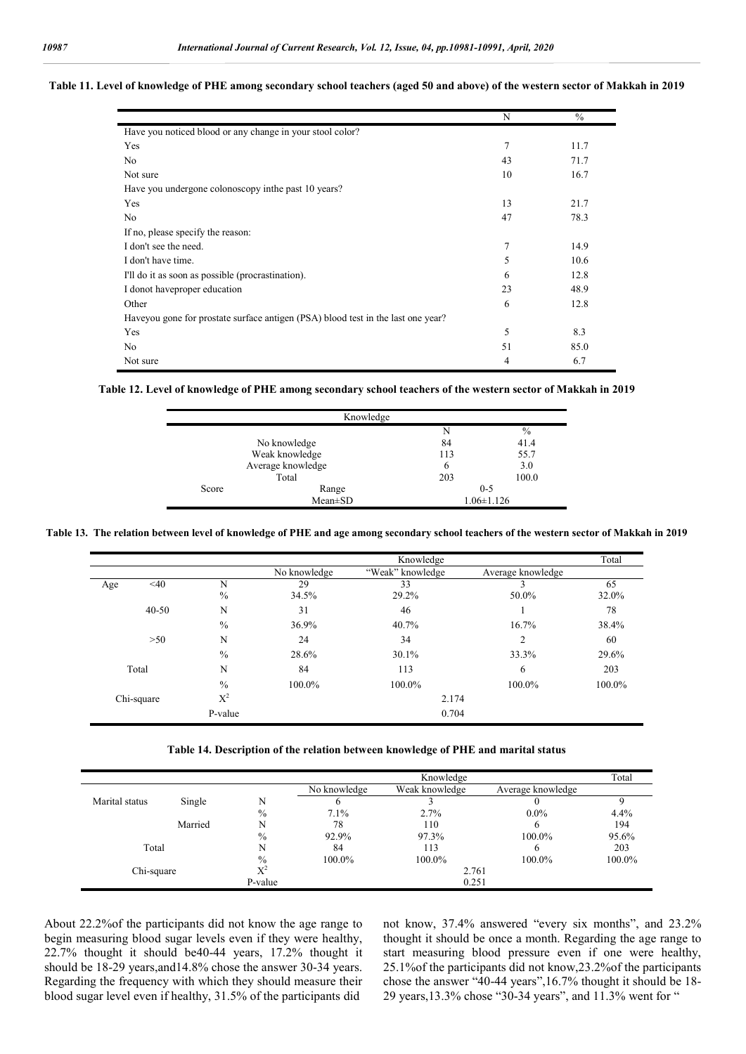#### **Table 11. Level of knowledge of PHE among secondary school teachers (aged 50 and above) of the western sector of Makkah in 2019**

|                                                                                  | N  | $\frac{0}{0}$ |
|----------------------------------------------------------------------------------|----|---------------|
| Have you noticed blood or any change in your stool color?                        |    |               |
| Yes                                                                              | 7  | 11.7          |
| N <sub>o</sub>                                                                   | 43 | 71.7          |
| Not sure                                                                         | 10 | 16.7          |
| Have you undergone colonoscopy in the past 10 years?                             |    |               |
| Yes                                                                              | 13 | 21.7          |
| N <sub>o</sub>                                                                   | 47 | 78.3          |
| If no, please specify the reason:                                                |    |               |
| I don't see the need.                                                            | 7  | 14.9          |
| I don't have time.                                                               | 5  | 10.6          |
| I'll do it as soon as possible (procrastination).                                | 6  | 12.8          |
| I donot have proper education                                                    | 23 | 48.9          |
| Other                                                                            | 6  | 12.8          |
| Haveyou gone for prostate surface antigen (PSA) blood test in the last one year? |    |               |
| Yes                                                                              | 5  | 8.3           |
| No                                                                               | 51 | 85.0          |
| Not sure                                                                         | 4  | 6.7           |

**Table 12. Level of knowledge of PHE among secondary school teachers of the western sector of Makkah in 2019**

| Knowledge      |                   |                  |       |  |
|----------------|-------------------|------------------|-------|--|
|                |                   | N                | $\%$  |  |
|                | No knowledge      | 84               | 41.4  |  |
| Weak knowledge |                   | 113              | 55.7  |  |
|                | Average knowledge | 6                | 3.0   |  |
|                | Total             | 203              | 100.0 |  |
| Score          | Range             | $0 - 5$          |       |  |
|                | $Mean \pm SD$     | $1.06 \pm 1.126$ |       |  |

**Table 13. The relation between level of knowledge of PHE and age among secondary school teachers of the western sector of Makkah in 2019**

|               |                | Knowledge    |                  |                   | Total  |
|---------------|----------------|--------------|------------------|-------------------|--------|
|               |                | No knowledge | "Weak" knowledge | Average knowledge |        |
| $<$ 40<br>Age | N              | 29           | 33               |                   | 65     |
|               | $\frac{0}{0}$  | 34.5%        | 29.2%            | 50.0%             | 32.0%  |
| $40 - 50$     | N              | 31           | 46               |                   | 78     |
|               | $\frac{0}{0}$  | 36.9%        | 40.7%            | 16.7%             | 38.4%  |
| >50           | N              | 24           | 34               | 2                 | 60     |
|               | $\%$           | 28.6%        | 30.1%            | 33.3%             | 29.6%  |
| Total         | N              | 84           | 113              | 6                 | 203    |
|               | $\frac{0}{0}$  | 100.0%       | 100.0%           | 100.0%            | 100.0% |
| Chi-square    | $\mathrm{X}^2$ |              | 2.174            |                   |        |
|               | P-value        |              | 0.704            |                   |        |

|                |         |               |              | Knowledge      |                   | Total  |
|----------------|---------|---------------|--------------|----------------|-------------------|--------|
|                |         |               | No knowledge | Weak knowledge | Average knowledge |        |
| Marital status | Single  | N             |              |                |                   |        |
|                |         | $\frac{0}{0}$ | 7.1%         | 2.7%           | $0.0\%$           | 4.4%   |
|                | Married | N             | 78           | 110            | 6                 | 194    |
|                |         | $\%$          | 92.9%        | 97.3%          | 100.0%            | 95.6%  |
| Total          |         | N             | 84           | 113            | 6                 | 203    |
|                |         | $\frac{0}{0}$ | 100.0%       | 100.0%         | 100.0%            | 100.0% |
| Chi-square     |         | $X^2$         | 2.761        |                |                   |        |
|                |         | P-value       |              | 0.251          |                   |        |

About 22.2%of the participants did not know the age range to begin measuring blood sugar levels even if they were healthy, 22.7% thought it should be40-44 years, 17.2% thought it should be 18-29 years,and14.8% chose the answer 30-34 years. Regarding the frequency with which they should measure their blood sugar level even if healthy, 31.5% of the participants did

not know, 37.4% answered "every six months", and 23.2% thought it should be once a month. Regarding the age range to start measuring blood pressure even if one were healthy, 25.1%of the participants did not know,23.2%of the participants chose the answer "40-44 years",16.7% thought it should be 18- 29 years,13.3% chose "30-34 years", and 11.3% went for "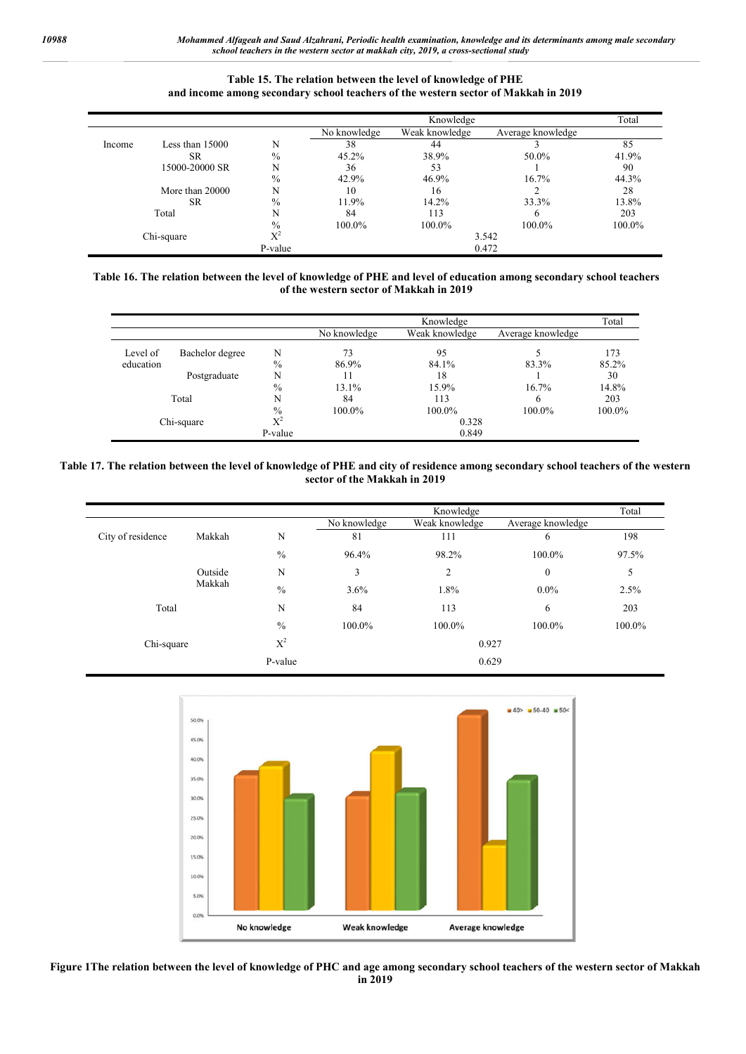## **Table 15. The relation between the level of knowledge of PHE and income among secondary school teachers of the western sector of Makkah in 2019**

|            |                   |                | Knowledge    |                |                   | Total  |
|------------|-------------------|----------------|--------------|----------------|-------------------|--------|
|            |                   |                | No knowledge | Weak knowledge | Average knowledge |        |
| Income     | Less than $15000$ | N              | 38           | 44             |                   | 85     |
|            | <b>SR</b>         | $\%$           | 45.2%        | 38.9%          | 50.0%             | 41.9%  |
|            | 15000-20000 SR    | N              | 36           | 53             |                   | 90     |
|            |                   | $\%$           | 42.9%        | 46.9%          | 16.7%             | 44.3%  |
|            | More than 20000   | N              | 10           | 16             |                   | 28     |
|            | <b>SR</b>         | $\%$           | 11.9%        | 14.2%          | 33.3%             | 13.8%  |
|            | Total             | N              | 84           | 113            |                   | 203    |
|            |                   | $\frac{0}{0}$  | 100.0%       | 100.0%         | 100.0%            | 100.0% |
| Chi-square |                   | $\mathrm{X}^2$ |              | 3.542          |                   |        |
|            |                   | P-value        |              |                | 0.472             |        |

### **Table 16. The relation between the level of knowledge of PHE and level of education among secondary school teachers of the western sector of Makkah in 2019**

|            |                 |               | Knowledge    |                |                   | Total  |
|------------|-----------------|---------------|--------------|----------------|-------------------|--------|
|            |                 |               | No knowledge | Weak knowledge | Average knowledge |        |
| Level of   | Bachelor degree | N             | 73           | 95             |                   | 173    |
| education  |                 | $\%$          | 86.9%        | 84.1%          | 83.3%             | 85.2%  |
|            | Postgraduate    | N             |              | 18             |                   | 30     |
|            |                 | $\frac{0}{0}$ | 13.1%        | 15.9%          | 16.7%             | 14.8%  |
|            | Total           | N             | 84           | 113            | b                 | 203    |
|            |                 | $\%$          | 100.0%       | 100.0%         | 100.0%            | 100.0% |
| Chi-square |                 | $X^2$         | 0.328        |                |                   |        |
|            |                 | P-value       |              | 0.849          |                   |        |

### **Table 17. The relation between the level of knowledge of PHE and city of residence among secondary school teachers of the western sector of the Makkah in 2019**

|                   |         |               |              | Knowledge      |                   | Total  |
|-------------------|---------|---------------|--------------|----------------|-------------------|--------|
|                   |         |               | No knowledge | Weak knowledge | Average knowledge |        |
| City of residence | Makkah  | N             | 81           | 111            | 6                 | 198    |
|                   |         | $\frac{0}{0}$ | 96.4%        | 98.2%          | 100.0%            | 97.5%  |
|                   | Outside | $\mathbf N$   | 3            | 2              | $\boldsymbol{0}$  | 5      |
|                   | Makkah  | $\frac{0}{0}$ | 3.6%         | 1.8%           | $0.0\%$           | 2.5%   |
| Total             |         | N             | 84           | 113            | 6                 | 203    |
|                   |         | $\frac{0}{0}$ | 100.0%       | 100.0%         | 100.0%            | 100.0% |
| Chi-square        |         | $X^2$         |              | 0.927          |                   |        |
|                   |         | P-value       |              | 0.629          |                   |        |



**Figure 1The relation between the level of knowledge of PHC and age among secondary school teachers of the western sector of Makkah in 2019**

j,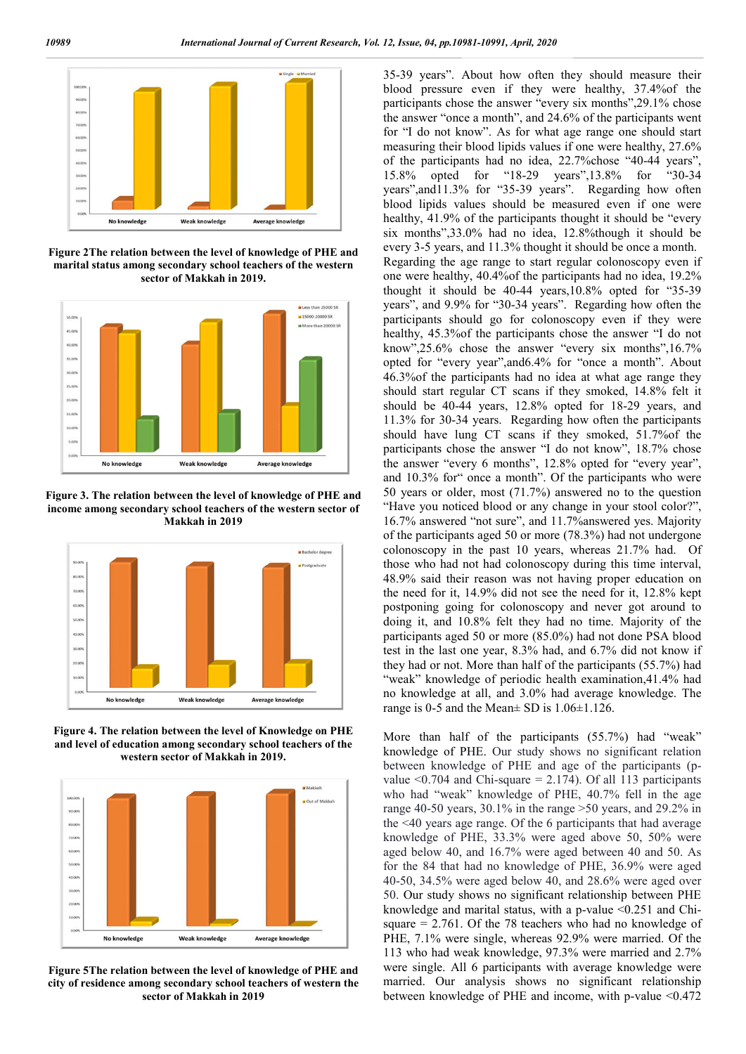

**Figure 2The relation between the level of knowledge of PHE and marital status among secondary school teachers of the western sector of Makkah in 2019.**



**Figure 3. The relation between the level of knowledge of PHE and income among secondary school teachers of the western sector of Makkah in 2019**



**Figure 4. The relation between the level of Knowledge on PHE and level of education among secondary school teachers of the western sector of Makkah in 2019.**



**Figure 5The relation between the level of knowledge of PHE and city of residence among secondary school teachers of western the sector of Makkah in 2019**

35-39 years". About how often they should measure their blood pressure even if they were healthy, 37.4%of the participants chose the answer "every six months",29.1% chose the answer "once a month", and 24.6% of the participants went for "I do not know". As for what age range one should start measuring their blood lipids values if one were healthy, 27.6% of the participants had no idea, 22.7%chose "40-44 years", 15.8% opted for "18-29 years",13.8% for "30-34 years",and11.3% for "35-39 years". Regarding how often blood lipids values should be measured even if one were healthy, 41.9% of the participants thought it should be "every six months",33.0% had no idea, 12.8%though it should be every 3-5 years, and 11.3% thought it should be once a month. Regarding the age range to start regular colonoscopy even if one were healthy, 40.4%of the participants had no idea, 19.2% thought it should be 40-44 years,10.8% opted for "35-39 years", and 9.9% for "30-34 years". Regarding how often the participants should go for colonoscopy even if they were healthy, 45.3%of the participants chose the answer "I do not know",25.6% chose the answer "every six months",16.7% opted for "every year",and6.4% for "once a month". About 46.3%of the participants had no idea at what age range they should start regular CT scans if they smoked, 14.8% felt it should be 40-44 years, 12.8% opted for 18-29 years, and 11.3% for 30-34 years. Regarding how often the participants should have lung CT scans if they smoked, 51.7%of the participants chose the answer "I do not know", 18.7% chose the answer "every 6 months", 12.8% opted for "every year", and 10.3% for" once a month". Of the participants who were 50 years or older, most (71.7%) answered no to the question "Have you noticed blood or any change in your stool color?", 16.7% answered "not sure", and 11.7%answered yes. Majority of the participants aged 50 or more (78.3%) had not undergone colonoscopy in the past 10 years, whereas 21.7% had. Of those who had not had colonoscopy during this time interval, 48.9% said their reason was not having proper education on the need for it, 14.9% did not see the need for it, 12.8% kept postponing going for colonoscopy and never got around to doing it, and 10.8% felt they had no time. Majority of the participants aged 50 or more (85.0%) had not done PSA blood test in the last one year, 8.3% had, and 6.7% did not know if they had or not. More than half of the participants (55.7%) had "weak" knowledge of periodic health examination, 41.4% had no knowledge at all, and 3.0% had average knowledge. The range is 0-5 and the Mean± SD is 1.06±1.126.

More than half of the participants (55.7%) had "weak" knowledge of PHE. Our study shows no significant relation between knowledge of PHE and age of the participants (pvalue  $\leq 0.704$  and Chi-square = 2.174). Of all 113 participants who had "weak" knowledge of PHE, 40.7% fell in the age range 40-50 years, 30.1% in the range >50 years, and 29.2% in the <40 years age range. Of the 6 participants that had average knowledge of PHE, 33.3% were aged above 50, 50% were aged below 40, and 16.7% were aged between 40 and 50. As for the 84 that had no knowledge of PHE, 36.9% were aged 40-50, 34.5% were aged below 40, and 28.6% were aged over 50. Our study shows no significant relationship between PHE knowledge and marital status, with a p-value <0.251 and Chisquare = 2.761. Of the 78 teachers who had no knowledge of PHE, 7.1% were single, whereas 92.9% were married. Of the 113 who had weak knowledge, 97.3% were married and 2.7% were single. All 6 participants with average knowledge were married. Our analysis shows no significant relationship between knowledge of PHE and income, with p-value <0.472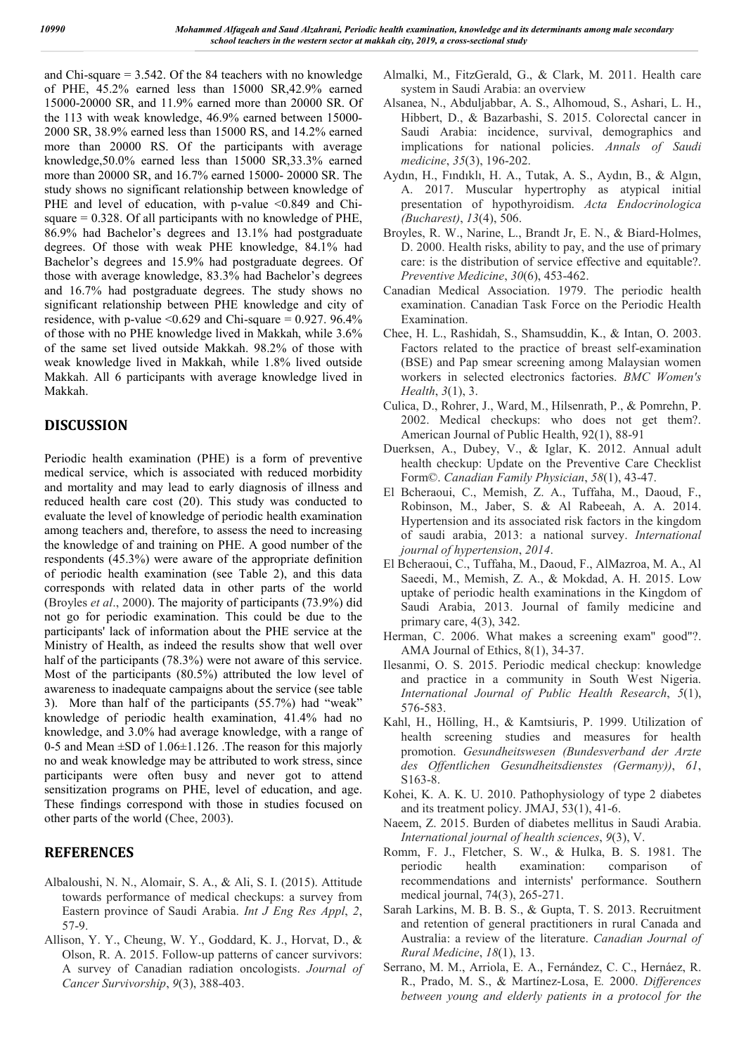and Chi-square = 3.542. Of the 84 teachers with no knowledge of PHE, 45.2% earned less than 15000 SR,42.9% earned 15000-20000 SR, and 11.9% earned more than 20000 SR. Of the 113 with weak knowledge, 46.9% earned between 15000- 2000 SR, 38.9% earned less than 15000 RS, and 14.2% earned more than 20000 RS. Of the participants with average knowledge,50.0% earned less than 15000 SR,33.3% earned more than 20000 SR, and 16.7% earned 15000- 20000 SR. The study shows no significant relationship between knowledge of PHE and level of education, with p-value <0.849 and Chisquare  $= 0.328$ . Of all participants with no knowledge of PHE, 86.9% had Bachelor's degrees and 13.1% had postgraduate degrees. Of those with weak PHE knowledge, 84.1% had Bachelor's degrees and 15.9% had postgraduate degrees. Of those with average knowledge, 83.3% had Bachelor's degrees and 16.7% had postgraduate degrees. The study shows no significant relationship between PHE knowledge and city of residence, with p-value  $\leq 0.629$  and Chi-square = 0.927. 96.4% of those with no PHE knowledge lived in Makkah, while 3.6% of the same set lived outside Makkah. 98.2% of those with weak knowledge lived in Makkah, while 1.8% lived outside Makkah. All 6 participants with average knowledge lived in Makkah.

# **DISCUSSION**

Periodic health examination (PHE) is a form of preventive medical service, which is associated with reduced morbidity and mortality and may lead to early diagnosis of illness and reduced health care cost (20). This study was conducted to evaluate the level of knowledge of periodic health examination among teachers and, therefore, to assess the need to increasing the knowledge of and training on PHE. A good number of the respondents (45.3%) were aware of the appropriate definition of periodic health examination (see Table 2), and this data corresponds with related data in other parts of the world (Broyles *et al*., 2000). The majority of participants (73.9%) did not go for periodic examination. This could be due to the participants' lack of information about the PHE service at the Ministry of Health, as indeed the results show that well over half of the participants (78.3%) were not aware of this service. Most of the participants (80.5%) attributed the low level of awareness to inadequate campaigns about the service (see table 3). More than half of the participants (55.7%) had "weak" knowledge of periodic health examination, 41.4% had no knowledge, and 3.0% had average knowledge, with a range of 0-5 and Mean  $\pm$ SD of 1.06 $\pm$ 1.126. The reason for this majorly no and weak knowledge may be attributed to work stress, since participants were often busy and never got to attend sensitization programs on PHE, level of education, and age. These findings correspond with those in studies focused on other parts of the world (Chee, 2003).

# **REFERENCES**

- Albaloushi, N. N., Alomair, S. A., & Ali, S. I. (2015). Attitude towards performance of medical checkups: a survey from Eastern province of Saudi Arabia. *Int J Eng Res Appl*, *2*, 57-9.
- Allison, Y. Y., Cheung, W. Y., Goddard, K. J., Horvat, D., & Olson, R. A. 2015. Follow-up patterns of cancer survivors: A survey of Canadian radiation oncologists. *Journal of Cancer Survivorship*, *9*(3), 388-403.
- Almalki, M., FitzGerald, G., & Clark, M. 2011. Health care system in Saudi Arabia: an overview
- Alsanea, N., Abduljabbar, A. S., Alhomoud, S., Ashari, L. H., Hibbert, D., & Bazarbashi, S. 2015. Colorectal cancer in Saudi Arabia: incidence, survival, demographics and implications for national policies. *Annals of Saudi medicine*, *35*(3), 196-202.
- Aydın, H., Fındıklı, H. A., Tutak, A. S., Aydın, B., & Algın, A. 2017. Muscular hypertrophy as atypical initial presentation of hypothyroidism. *Acta Endocrinologica (Bucharest)*, *13*(4), 506.
- Broyles, R. W., Narine, L., Brandt Jr, E. N., & Biard-Holmes, D. 2000. Health risks, ability to pay, and the use of primary care: is the distribution of service effective and equitable?. *Preventive Medicine*, *30*(6), 453-462.
- Canadian Medical Association. 1979. The periodic health examination. Canadian Task Force on the Periodic Health Examination.
- Chee, H. L., Rashidah, S., Shamsuddin, K., & Intan, O. 2003. Factors related to the practice of breast self-examination (BSE) and Pap smear screening among Malaysian women workers in selected electronics factories. *BMC Women's Health*, *3*(1), 3.
- Culica, D., Rohrer, J., Ward, M., Hilsenrath, P., & Pomrehn, P. 2002. Medical checkups: who does not get them?. American Journal of Public Health, 92(1), 88-91
- Duerksen, A., Dubey, V., & Iglar, K. 2012. Annual adult health checkup: Update on the Preventive Care Checklist Form©. *Canadian Family Physician*, *58*(1), 43-47.
- El Bcheraoui, C., Memish, Z. A., Tuffaha, M., Daoud, F., Robinson, M., Jaber, S. & Al Rabeeah, A. A. 2014. Hypertension and its associated risk factors in the kingdom of saudi arabia, 2013: a national survey. *International journal of hypertension*, *2014*.
- El Bcheraoui, C., Tuffaha, M., Daoud, F., AlMazroa, M. A., Al Saeedi, M., Memish, Z. A., & Mokdad, A. H. 2015. Low uptake of periodic health examinations in the Kingdom of Saudi Arabia, 2013. Journal of family medicine and primary care, 4(3), 342.
- Herman, C. 2006. What makes a screening exam" good"?. AMA Journal of Ethics, 8(1), 34-37.
- Ilesanmi, O. S. 2015. Periodic medical checkup: knowledge and practice in a community in South West Nigeria. *International Journal of Public Health Research*, *5*(1), 576-583.
- Kahl, H., Hölling, H., & Kamtsiuris, P. 1999. Utilization of health screening studies and measures for health promotion. *Gesundheitswesen (Bundesverband der Arzte des Offentlichen Gesundheitsdienstes (Germany))*, *61*, S163-8.
- Kohei, K. A. K. U. 2010. Pathophysiology of type 2 diabetes and its treatment policy. JMAJ, 53(1), 41-6.
- Naeem, Z. 2015. Burden of diabetes mellitus in Saudi Arabia. *International journal of health sciences*, *9*(3), V.
- Romm, F. J., Fletcher, S. W., & Hulka, B. S. 1981. The periodic health examination: comparison of recommendations and internists' performance. Southern medical journal, 74(3), 265-271.
- Sarah Larkins, M. B. B. S., & Gupta, T. S. 2013. Recruitment and retention of general practitioners in rural Canada and Australia: a review of the literature. *Canadian Journal of Rural Medicine*, *18*(1), 13.
- Serrano, M. M., Arriola, E. A., Fernández, C. C., Hernáez, R. R., Prado, M. S., & Martínez-Losa, E*.* 2000. *Differences between young and elderly patients in a protocol for the*